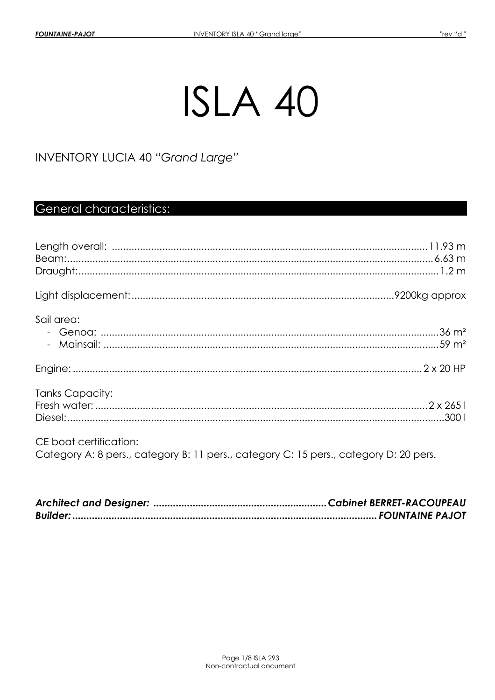# ISLA 40

INVENTORY LUCIA 40 "Grand Large"

# General characteristics:

| Sail area:                                                                                                      |  |
|-----------------------------------------------------------------------------------------------------------------|--|
|                                                                                                                 |  |
| Tanks Capacity:                                                                                                 |  |
| CE boat certification:<br>Category A: 8 pers., category B: 11 pers., category C: 15 pers., category D: 20 pers. |  |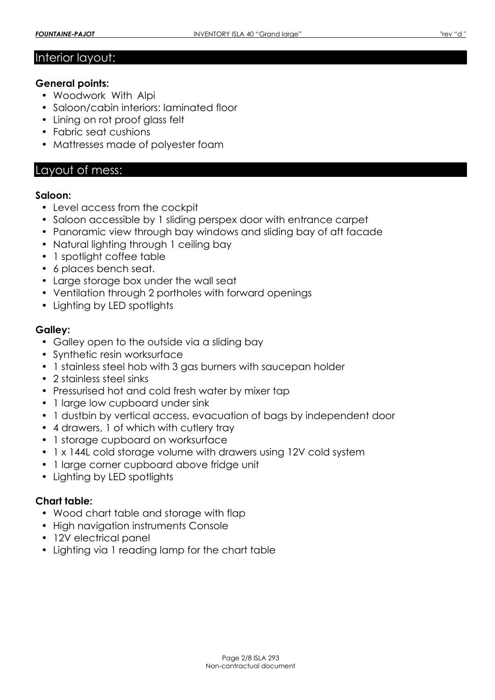## Interior layout:

#### **General points:**

- Woodwork With Alpi
- Saloon/cabin interiors: laminated floor
- Lining on rot proof glass felt
- Fabric seat cushions
- Mattresses made of polyester foam

## Layout of mess:

#### **Saloon:**

- Level access from the cockpit
- Saloon accessible by 1 sliding perspex door with entrance carpet
- Panoramic view through bay windows and sliding bay of aft facade
- Natural lighting through 1 ceiling bay
- 1 spotlight coffee table
- 6 places bench seat.
- Large storage box under the wall seat
- Ventilation through 2 portholes with forward openings
- Lighting by LED spotlights

## **Galley:**

- Galley open to the outside via a sliding bay
- Synthetic resin worksurface
- 1 stainless steel hob with 3 gas burners with saucepan holder
- 2 stainless steel sinks
- Pressurised hot and cold fresh water by mixer tap
- 1 large low cupboard under sink
- 1 dustbin by vertical access, evacuation of bags by independent door
- 4 drawers, 1 of which with cutlery tray
- 1 storage cupboard on worksurface
- 1 x 144L cold storage volume with drawers using 12V cold system
- 1 large corner cupboard above fridge unit
- Lighting by LED spotlights

## **Chart table:**

- Wood chart table and storage with flap
- High navigation instruments Console
- 12V electrical panel
- Lighting via 1 reading lamp for the chart table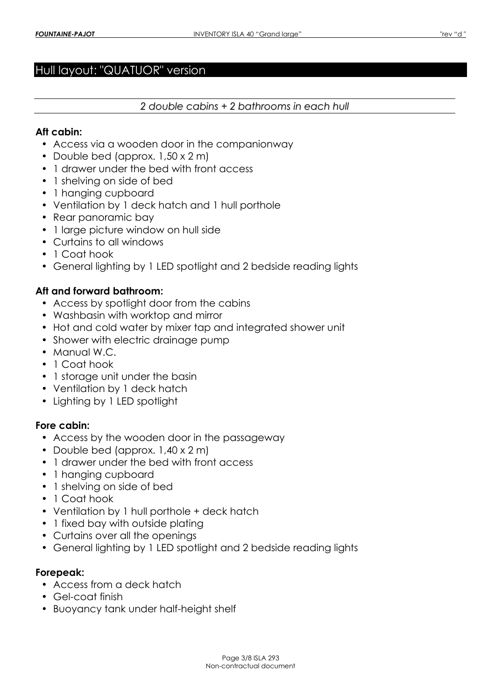# Hull layout: "QUATUOR" version

#### *2 double cabins + 2 bathrooms in each hull*

#### **Aft cabin:**

- Access via a wooden door in the companionway
- Double bed (approx.  $1,50 \times 2$  m)
- 1 drawer under the bed with front access
- 1 shelving on side of bed
- 1 hanging cupboard
- Ventilation by 1 deck hatch and 1 hull porthole
- Rear panoramic bay
- 1 large picture window on hull side
- Curtains to all windows
- 1 Coat hook
- General lighting by 1 LED spotlight and 2 bedside reading lights

## **Aft and forward bathroom:**

- Access by spotlight door from the cabins
- Washbasin with worktop and mirror
- Hot and cold water by mixer tap and integrated shower unit
- Shower with electric drainage pump
- Manual W.C.
- 1 Coat hook
- 1 storage unit under the basin
- Ventilation by 1 deck hatch
- Lighting by 1 LED spotlight

#### **Fore cabin:**

- Access by the wooden door in the passageway
- Double bed (approx. 1,40 x 2 m)
- 1 drawer under the bed with front access
- 1 hanging cupboard
- 1 shelving on side of bed
- 1 Coat hook
- Ventilation by 1 hull porthole + deck hatch
- 1 fixed bay with outside plating
- Curtains over all the openings
- General lighting by 1 LED spotlight and 2 bedside reading lights

#### **Forepeak:**

- Access from a deck hatch
- Gel-coat finish
- Buoyancy tank under half-height shelf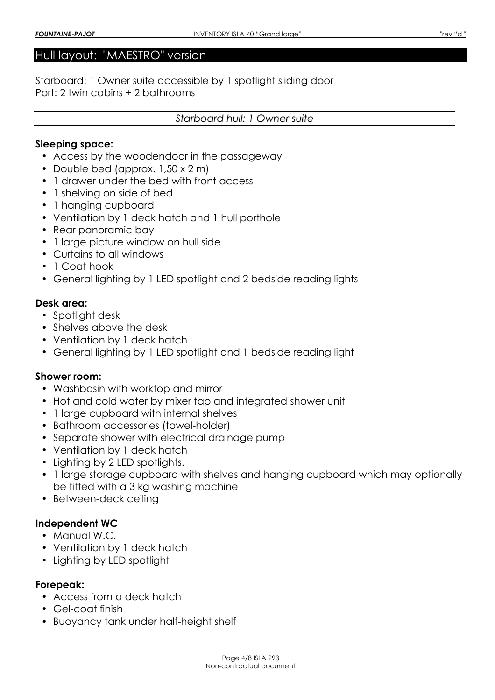## Hull layout: "MAESTRO" version

Starboard: 1 Owner suite accessible by 1 spotlight sliding door Port: 2 twin cabins + 2 bathrooms

#### *Starboard hull: 1 Owner suite*

#### **Sleeping space:**

- Access by the woodendoor in the passageway
- Double bed (approx. 1,50 x 2 m)
- 1 drawer under the bed with front access
- 1 shelving on side of bed
- 1 hanging cupboard
- Ventilation by 1 deck hatch and 1 hull porthole
- Rear panoramic bay
- 1 large picture window on hull side
- Curtains to all windows
- 1 Coat hook
- General lighting by 1 LED spotlight and 2 bedside reading lights

#### **Desk area:**

- Spotlight desk
- Shelves above the desk
- Ventilation by 1 deck hatch
- General lighting by 1 LED spotlight and 1 bedside reading light

#### **Shower room:**

- Washbasin with worktop and mirror
- Hot and cold water by mixer tap and integrated shower unit
- 1 large cupboard with internal shelves
- Bathroom accessories (towel-holder)
- Separate shower with electrical drainage pump
- Ventilation by 1 deck hatch
- Lighting by 2 LED spotlights.
- 1 large storage cupboard with shelves and hanging cupboard which may optionally be fitted with a 3 kg washing machine
- Between-deck ceiling

#### **Independent WC**

- Manual W.C.
- Ventilation by 1 deck hatch
- Lighting by LED spotlight

#### **Forepeak:**

- Access from a deck hatch
- Gel-coat finish
- Buoyancy tank under half-height shelf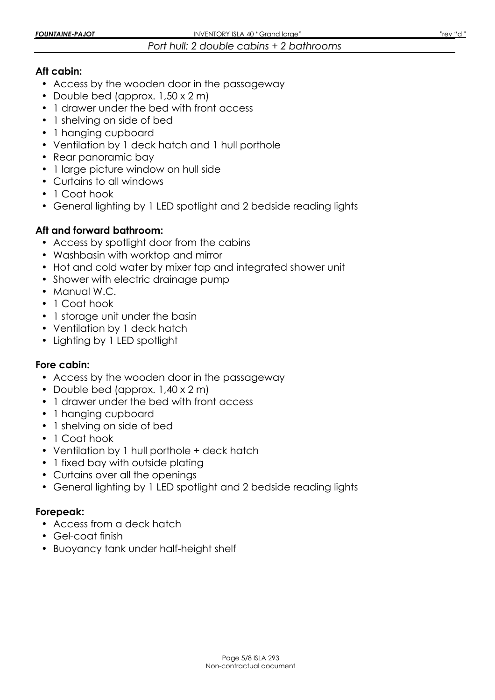## *Port hull: 2 double cabins + 2 bathrooms*

## **Aft cabin:**

- Access by the wooden door in the passageway
- Double bed (approx. 1,50 x 2 m)
- 1 drawer under the bed with front access
- 1 shelving on side of bed
- 1 hanging cupboard
- Ventilation by 1 deck hatch and 1 hull porthole
- Rear panoramic bay
- 1 large picture window on hull side
- Curtains to all windows
- 1 Coat hook
- General lighting by 1 LED spotlight and 2 bedside reading lights

# **Aft and forward bathroom:**

- Access by spotlight door from the cabins
- Washbasin with worktop and mirror
- Hot and cold water by mixer tap and integrated shower unit
- Shower with electric drainage pump
- Manual W.C.
- 1 Coat hook
- 1 storage unit under the basin
- Ventilation by 1 deck hatch
- Lighting by 1 LED spotlight

## **Fore cabin:**

- Access by the wooden door in the passageway
- Double bed (approx. 1,40 x 2 m)
- 1 drawer under the bed with front access
- 1 hanging cupboard
- 1 shelving on side of bed
- 1 Coat hook
- Ventilation by 1 hull porthole + deck hatch
- 1 fixed bay with outside plating
- Curtains over all the openings
- General lighting by 1 LED spotlight and 2 bedside reading lights

## **Forepeak:**

- Access from a deck hatch
- Gel-coat finish
- Buoyancy tank under half-height shelf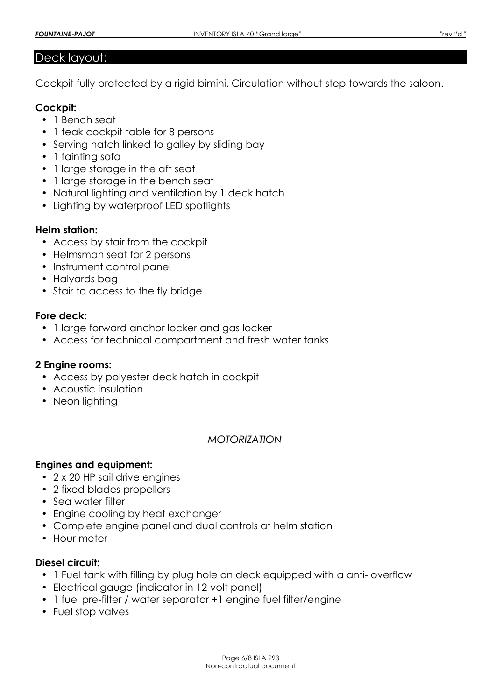## Deck layout:

Cockpit fully protected by a rigid bimini. Circulation without step towards the saloon.

## **Cockpit:**

- 1 Bench seat
- 1 teak cockpit table for 8 persons
- Serving hatch linked to galley by sliding bay
- 1 fainting sofa
- 1 large storage in the aft seat
- 1 large storage in the bench seat
- Natural lighting and ventilation by 1 deck hatch
- Lighting by waterproof LED spotlights

## **Helm station:**

- Access by stair from the cockpit
- Helmsman seat for 2 persons
- Instrument control panel
- Halyards bag
- Stair to access to the fly bridge

## **Fore deck:**

- 1 large forward anchor locker and gas locker
- Access for technical compartment and fresh water tanks

## **2 Engine rooms:**

- Access by polyester deck hatch in cockpit
- Acoustic insulation
- Neon lighting

## *MOTORIZATION*

## **Engines and equipment:**

- 2 x 20 HP sail drive engines
- 2 fixed blades propellers
- Sea water filter
- Engine cooling by heat exchanger
- Complete engine panel and dual controls at helm station
- Hour meter

# **Diesel circuit:**

- 1 Fuel tank with filling by plug hole on deck equipped with a anti- overflow
- Electrical gauge (indicator in 12-volt panel)
- 1 fuel pre-filter / water separator +1 engine fuel filter/engine
- Fuel stop valves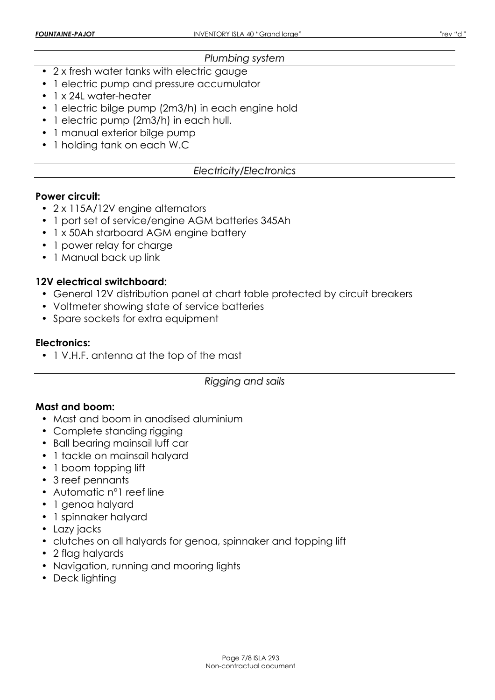### *Plumbing system*

- 2 x fresh water tanks with electric gauge
- 1 electric pump and pressure accumulator
- 1 x 24L water-heater
- 1 electric bilge pump (2m3/h) in each engine hold
- 1 electric pump (2m3/h) in each hull.
- 1 manual exterior bilge pump
- 1 holding tank on each W.C

## *Electricity/Electronics*

#### **Power circuit:**

- 2 x 115A/12V engine alternators
- 1 port set of service/engine AGM batteries 345Ah
- 1 x 50Ah starboard AGM engine battery
- 1 power relay for charge
- 1 Manual back up link

## **12V electrical switchboard:**

- General 12V distribution panel at chart table protected by circuit breakers
- Voltmeter showing state of service batteries
- Spare sockets for extra equipment

## **Electronics:**

• 1 V.H.F. antenna at the top of the mast

#### *Rigging and sails*

#### **Mast and boom:**

- Mast and boom in anodised aluminium
- Complete standing rigging
- Ball bearing mainsail luff car
- 1 tackle on mainsail halyard
- 1 boom topping lift
- 3 reef pennants
- Automatic n<sup>o</sup>l reef line
- 1 genoa halyard
- 1 spinnaker halyard
- Lazy jacks
- clutches on all halyards for genoa, spinnaker and topping lift
- 2 flag halyards
- Navigation, running and mooring lights
- Deck lighting